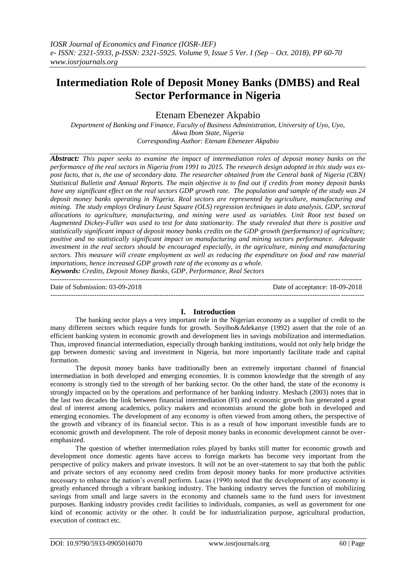# **Intermediation Role of Deposit Money Banks (DMBS) and Real Sector Performance in Nigeria**

Etenam Ebenezer Akpabio

*Department of Banking and Finance, Faculty of Business Administration, University of Uyo, Uyo, Akwa Ibom State, Nigeria Corresponding Author: Etenam Ebenezer Akpabio*

*Abstract: This paper seeks to examine the impact of intermediation roles of deposit money banks on the performance of the real sectors in Nigeria from 1991 to 2015. The research design adopted in this study was expost facto, that is, the use of secondary data. The researcher obtained from the Central bank of Nigeria (CBN) Statistical Bulletin and Annual Reports. The main objective is to find out if credits from money deposit banks have any significant effect on the real sectors GDP growth rate. The population and sample of the study was 24 deposit money banks operating in Nigeria. Real sectors are represented by agriculture, manufacturing and mining. The study employs Ordinary Least Square (OLS) regression techniques in data analysis. GDP, sectoral allocations to agriculture, manufacturing, and mining were used as variables. Unit Root test based on Augmented Dickey-Fuller was used to test for data stationarity. The study revealed that there is positive and statistically significant impact of deposit money banks credits on the GDP growth (performance) of agriculture; positive and no statistically significant impact on manufacturing and mining sectors performance. Adequate investment in the real sectors should be encouraged especially, in the agriculture, mining and manufacturing sectors. This measure will create employment as well as reducing the expenditure on food and raw material importations, hence increased GDP growth rate of the economy as a whole.*

*Keywords: Credits, Deposit Money Banks, GDP, Performance, Real Sectors* --------------------------------------------------------------------------------------------------------------------------------------

Date of Submission: 03-09-2018 Date of acceptance: 18-09-2018

#### ---------------------------------------------------------------------------------------------------------------------------------------

### **I. Introduction**

The banking sector plays a very important role in the Nigerian economy as a supplier of credit to the many different sectors which require funds for growth. Soyibo&Adekanye (1992) assert that the role of an efficient banking system in economic growth and development lies in savings mobilization and intermediation. Thus, improved financial intermediation, especially through banking institutions, would not only help bridge the gap between domestic saving and investment in Nigeria, but more importantly facilitate trade and capital formation.

The deposit money banks have traditionally been an extremely important channel of financial intermediation in both developed and emerging economies. It is common knowledge that the strength of any economy is strongly tied to the strength of her banking sector. On the other hand, the state of the economy is strongly impacted on by the operations and performance of her banking industry. Meshach (2003) notes that in the last two decades the link between financial intermediation (FI) and economic growth has generated a great deal of interest among academics, policy makers and economists around the globe both in developed and emerging economies. The development of any economy is often viewed from among others, the perspective of the growth and vibrancy of its financial sector. This is as a result of how important investible funds are to economic growth and development. The role of deposit money banks in economic development cannot be overemphasized.

The question of whether intermediation roles played by banks still matter for economic growth and development once domestic agents have access to foreign markets has become very important from the perspective of policy makers and private investors. It will not be an over-statement to say that both the public and private sectors of any economy need credits from deposit money banks for more productive activities necessary to enhance the nation"s overall perform. Lucas (1990) noted that the development of any economy is greatly enhanced through a vibrant banking industry. The banking industry serves the function of mobilizing savings from small and large savers in the economy and channels same to the fund users for investment purposes. Banking industry provides credit facilities to individuals, companies, as well as government for one kind of economic activity or the other. It could be for industrialization purpose, agricultural production, execution of contract etc.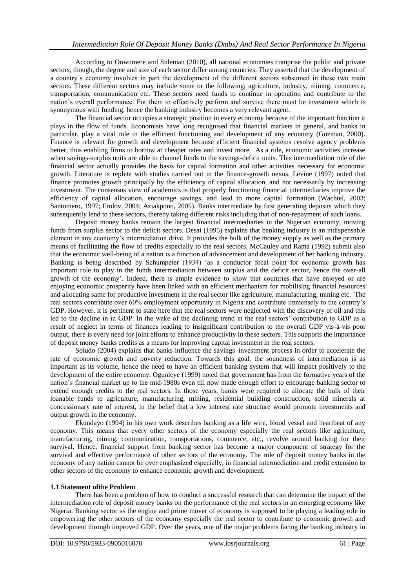According to Onwumere and Suleman (2010), all national economies comprise the public and private sectors, though, the degree and size of each sector differ among countries. They asserted that the development of a country"s economy involves in part the development of the different sectors subsumed in these two main sectors. These different sectors may include some or the following; agriculture, industry, mining, commerce, transportation, communication etc. These sectors need funds to continue in operation and contribute to the nation"s overall performance. For them to effectively perform and survive there must be investment which is synonymous with funding, hence the banking industry becomes a very relevant agent.

The financial sector occupies a strategic position in every economy because of the important function it plays in the flow of funds. Economists have long recognised that financial markets in general, and banks in particular, play a vital role in the efficient functioning and development of any economy (Guzman, 2000). Finance is relevant for growth and development because efficient financial systems resolve agency problems better, thus enabling firms to borrow at cheaper rates and invest more. As a rule, economic activities increase when savings-surplus units are able to channel funds to the savings-deficit units. This intermediation role of the financial sector actually provides the basis for capital formation and other activities necessary for economic growth. Literature is replete with studies carried out in the finance-growth nexus. Levine (1997) noted that finance promotes growth principally by the efficiency of capital allocation, and not necessarily by increasing investment. The consensus view of academics is that properly functioning financial intermediaries improve the efficiency of capital allocation, encourage savings, and lead to more capital formation (Wachtel, 2003; Santomero, 1997; Frolov, 2004; Aziakpono, 2005). Banks intermediate by first generating deposits which they subsequently lend to these sectors, thereby taking different risks including that of non-repayment of such loans.

Deposit money banks remain the largest financial intermediaries in the Nigerian economy, moving funds from surplus sector to the deficit sectors. Desai (1995) explains that banking industry is an indispensable element in any economy"s intermediation drive. It provides the bulk of the money supply as well as the primary means of facilitating the flow of credits especially to the real sectors. McCauley and Rama (1992) submit also that the economic well-being of a nation is a function of advancement and development of her banking industry. Banking is being described by Schumpeter (1934) "as a conductor focal point for economic growth has important role to play in the funds intermediation between surplus and the deficit sector, hence the over-all growth of the economy". Indeed, there is ample evidence to show that countries that have enjoyed or are enjoying economic prosperity have been linked with an efficient mechanism for mobilising financial resources and allocating same for productive investment in the real sector like agriculture, manufacturing, mining etc. The real sectors contribute over 60% employment opportunity in Nigeria and contribute immensely to the country"s GDP. However, it is pertinent to state here that the real sectors were neglected with the discovery of oil and this led to the decline in in GDP. In the wake of the declining trend in the real sectors' contribution to GDP as a result of neglect in terms of finances leading to insignificant contribution to the overall GDP vis-à-vis poor output, there is every need for joint efforts to enhance productivity in these sectors. This supports the importance of deposit money banks credits as a means for improving capital investment in the real sectors.

Soludo (2004) explains that banks influence the savings–investment process in order to accelerate the rate of economic growth and poverty reduction. Towards this goal, the soundness of intermediation is as important as its volume, hence the need to have an efficient banking system that will impact positively to the development of the entire economy. Ogunleye (1999) noted that government has from the formative years of the nation"s financial market up to the mid-1980s even till now made enough effort to encourage banking sector to extend enough credits to the real sectors. In those years, banks were required to allocate the bulk of their loanable funds to agriculture, manufacturing, mining, residential building construction, solid minerals at concessionary rate of interest, in the belief that a low interest rate structure would promote investments and output growth in the economy.

Ekundayo (1994) in his own work describes banking as a life wire, blood vessel and heartbeat of any economy. This means that every other sectors of the economy especially the real sectors like agriculture, manufacturing, mining, communication, transportations, commerce, etc., revolve around banking for their survival. Hence, financial support from banking sector has become a major component of strategy for the survival and effective performance of other sectors of the economy. The role of deposit money banks in the economy of any nation cannot be over emphasized especially, in financial intermediation and credit extension to other sectors of the economy to enhance economic growth and development.

# **1.1 Statement ofthe Problem**

There has been a problem of how to conduct a successful research that can determine the impact of the intermediation role of deposit money banks on the performance of the real sectors in an emerging economy like Nigeria. Banking sector as the engine and prime mover of economy is supposed to be playing a leading role in empowering the other sectors of the economy especially the real sector to contribute to economic growth and development through improved GDP. Over the years, one of the major problems facing the banking industry in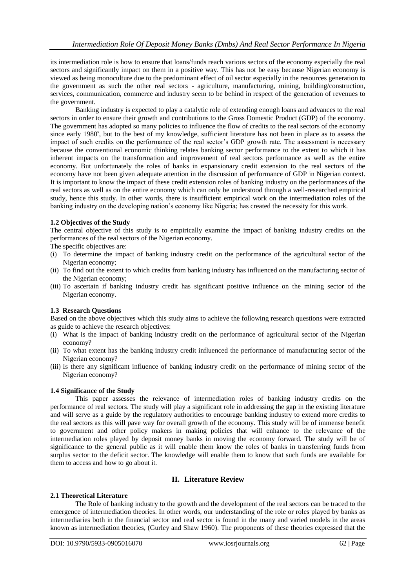its intermediation role is how to ensure that loans/funds reach various sectors of the economy especially the real sectors and significantly impact on them in a positive way. This has not be easy because Nigerian economy is viewed as being monoculture due to the predominant effect of oil sector especially in the resources generation to the government as such the other real sectors - agriculture, manufacturing, mining, building/construction, services, communication, commerce and industry seem to be behind in respect of the generation of revenues to the government.

Banking industry is expected to play a catalytic role of extending enough loans and advances to the real sectors in order to ensure their growth and contributions to the Gross Domestic Product (GDP) of the economy. The government has adopted so many policies to influence the flow of credits to the real sectors of the economy since early 1980<sup>s</sup>, but to the best of my knowledge, sufficient literature has not been in place as to assess the impact of such credits on the performance of the real sector"s GDP growth rate. The assessment is necessary because the conventional economic thinking relates banking sector performance to the extent to which it has inherent impacts on the transformation and improvement of real sectors performance as well as the entire economy. But unfortunately the roles of banks in expansionary credit extension to the real sectors of the economy have not been given adequate attention in the discussion of performance of GDP in Nigerian context. It is important to know the impact of these credit extension roles of banking industry on the performances of the real sectors as well as on the entire economy which can only be understood through a well-researched empirical study, hence this study. In other words, there is insufficient empirical work on the intermediation roles of the banking industry on the developing nation"s economy like Nigeria; has created the necessity for this work.

# **1.2 Objectives of the Study**

The central objective of this study is to empirically examine the impact of banking industry credits on the performances of the real sectors of the Nigerian economy.

The specific objectives are:

- (i) To determine the impact of banking industry credit on the performance of the agricultural sector of the Nigerian economy;
- (ii) To find out the extent to which credits from banking industry has influenced on the manufacturing sector of the Nigerian economy;
- (iii) To ascertain if banking industry credit has significant positive influence on the mining sector of the Nigerian economy.

# **1.3 Research Questions**

Based on the above objectives which this study aims to achieve the following research questions were extracted as guide to achieve the research objectives:

- (i) What is the impact of banking industry credit on the performance of agricultural sector of the Nigerian economy?
- (ii) To what extent has the banking industry credit influenced the performance of manufacturing sector of the Nigerian economy?
- (iii) Is there any significant influence of banking industry credit on the performance of mining sector of the Nigerian economy?

# **1.4 Significance of the Study**

This paper assesses the relevance of intermediation roles of banking industry credits on the performance of real sectors. The study will play a significant role in addressing the gap in the existing literature and will serve as a guide by the regulatory authorities to encourage banking industry to extend more credits to the real sectors as this will pave way for overall growth of the economy. This study will be of immense benefit to government and other policy makers in making policies that will enhance to the relevance of the intermediation roles played by deposit money banks in moving the economy forward. The study will be of significance to the general public as it will enable them know the roles of banks in transferring funds from surplus sector to the deficit sector. The knowledge will enable them to know that such funds are available for them to access and how to go about it.

# **II. Literature Review**

### **2.1 Theoretical Literature**

The Role of banking industry to the growth and the development of the real sectors can be traced to the emergence of intermediation theories. In other words, our understanding of the role or roles played by banks as intermediaries both in the financial sector and real sector is found in the many and varied models in the areas known as intermediation theories, (Gurley and Shaw 1960). The proponents of these theories expressed that the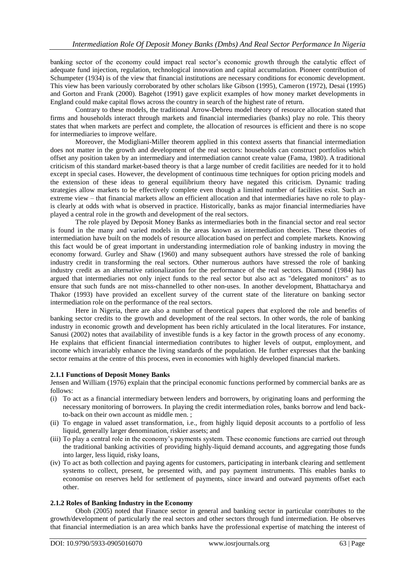banking sector of the economy could impact real sector"s economic growth through the catalytic effect of adequate fund injection, regulation, technological innovation and capital accumulation. Pioneer contribution of Schumpeter (1934) is of the view that financial institutions are necessary conditions for economic development. This view has been variously corroborated by other scholars like Gibson (1995), Cameron (1972), Desai (1995) and Gorton and Frank (2000). Bagehot (1991) gave explicit examples of how money market developments in England could make capital flows across the country in search of the highest rate of return.

Contrary to these models, the traditional Arrow-Debreu model theory of resource allocation stated that firms and households interact through markets and financial intermediaries (banks) play no role. This theory states that when markets are perfect and complete, the allocation of resources is efficient and there is no scope for intermediaries to improve welfare.

Moreover, the Modigliani-Miller theorem applied in this context asserts that financial intermediation does not matter in the growth and development of the real sectors: households can construct portfolios which offset any position taken by an intermediary and intermediation cannot create value (Fama, 1980). A traditional criticism of this standard market-based theory is that a large number of credit facilities are needed for it to hold except in special cases. However, the development of continuous time techniques for option pricing models and the extension of these ideas to general equilibrium theory have negated this criticism. Dynamic trading strategies allow markets to be effectively complete even though a limited number of facilities exist. Such an extreme view – that financial markets allow an efficient allocation and that intermediaries have no role to playis clearly at odds with what is observed in practice. Historically, banks as major financial intermediaries have played a central role in the growth and development of the real sectors.

The role played by Deposit Money Banks as intermediaries both in the financial sector and real sector is found in the many and varied models in the areas known as intermediation theories. These theories of intermediation have built on the models of resource allocation based on perfect and complete markets. Knowing this fact would be of great important in understanding intermediation role of banking industry in moving the economy forward. Gurley and Shaw (1960) and many subsequent authors have stressed the role of banking industry credit in transforming the real sectors. Other numerous authors have stressed the role of banking industry credit as an alternative rationalization for the performance of the real sectors. Diamond (1984) has argued that intermediaries not only inject funds to the real sector but also act as "delegated monitors" as to ensure that such funds are not miss-channelled to other non-uses. In another development, Bhattacharya and Thakor (1993) have provided an excellent survey of the current state of the literature on banking sector intermediation role on the performance of the real sectors.

Here in Nigeria, there are also a number of theoretical papers that explored the role and benefits of banking sector credits to the growth and development of the real sectors. In other words, the role of banking industry in economic growth and development has been richly articulated in the local literatures. For instance, Sanusi (2002) notes that availability of investible funds is a key factor in the growth process of any economy. He explains that efficient financial intermediation contributes to higher levels of output, employment, and income which invariably enhance the living standards of the population. He further expresses that the banking sector remains at the centre of this process, even in economies with highly developed financial markets.

## **2.1.1 Functions of Deposit Money Banks**

Jensen and William (1976) explain that the principal economic functions performed by commercial banks are as follows:

- (i) To act as a financial intermediary between lenders and borrowers, by originating loans and performing the necessary monitoring of borrowers. In playing the credit intermediation roles, banks borrow and lend backto-back on their own account as middle men. ;
- (ii) To engage in valued asset transformation, i.e., from highly liquid deposit accounts to a portfolio of less liquid, generally larger denomination, riskier assets; and
- (iii) To play a central role in the economy"s payments system. These economic functions are carried out through the traditional banking activities of providing highly-liquid demand accounts, and aggregating those funds into larger, less liquid, risky loans,
- (iv) To act as both collection and paying agents for customers, participating in interbank clearing and settlement systems to collect, present, be presented with, and pay payment instruments. This enables banks to economise on reserves held for settlement of payments, since inward and outward payments offset each other.

### **2.1.2 Roles of Banking Industry in the Economy**

Oboh (2005) noted that Finance sector in general and banking sector in particular contributes to the growth/development of particularly the real sectors and other sectors through fund intermediation. He observes that financial intermediation is an area which banks have the professional expertise of matching the interest of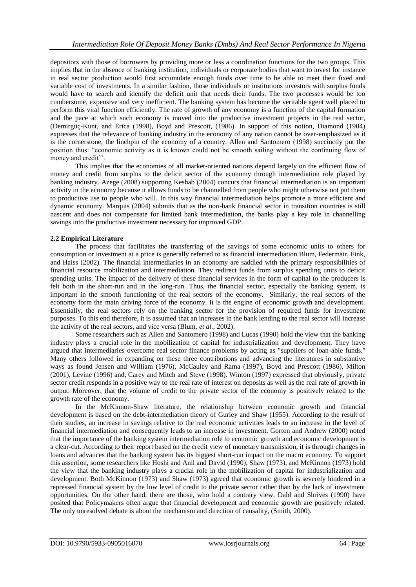depositors with those of borrowers by providing more or less a coordination functions for the two groups. This implies that in the absence of banking institution, individuals or corporate bodies that want to invest for instance in real sector production would first accumulate enough funds over time to be able to meet their fixed and variable cost of investments. In a similar fashion, those individuals or institutions investors with surplus funds would have to search and identify the deficit unit that needs their funds. The two processes would be too cumbersome, expensive and very inefficient. The banking system has become the veritable agent well placed to perform this vital function efficiently. The rate of growth of any economy is a function of the capital formation and the pace at which such economy is moved into the productive investment projects in the real sector, (Demirgüç-Kunt, and Erica (1998), Boyd and Prescott, (1986). In support of this notion, Diamond (1984) expresses that the relevance of banking industry in the economy of any nation cannot be over-emphasized as it is the cornerstone, the linchpin of the economy of a country. Allen and Santomero (1998) succinctly put the position thus: "economic activity as it is known could not be smooth sailing without the continuing flow of money and credit".

This implies that the economies of all market-oriented nations depend largely on the efficient flow of money and credit from surplus to the deficit sector of the economy through intermediation role played by banking industry. Azege (2008) supporting Keshab (2004) concurs that financial intermediation is an important activity in the economy because it allows funds to be channelled from people who might otherwise not put them to productive use to people who will. In this way financial intermediation helps promote a more efficient and dynamic economy. Marquis (2004) submits that as the non-bank financial sector in transition countries is still nascent and does not compensate for limited bank intermediation, the banks play a key role in channelling savings into the productive investment necessary for improved GDP.

# **2.2 Empirical Literature**

The process that facilitates the transferring of the savings of some economic units to others for consumption or investment at a price is generally referred to as financial intermediation Blum, Federmair, Fink, and Haiss (2002). The financial intermediaries in an economy are saddled with the primary responsibilities of financial resource mobilization and intermediation. They redirect funds from surplus spending units to deficit spending units. The impact of the delivery of these financial services in the form of capital to the producers is felt both in the short-run and in the long-run. Thus, the financial sector, especially the banking system, is important in the smooth functioning of the real sectors of the economy. Similarly, the real sectors of the economy form the main driving force of the economy. It is the engine of economic growth and development. Essentially, the real sectors rely on the banking sector for the provision of required funds for investment purposes. To this end therefore, it is assumed that an increases in the bank lending to the real sector will increase the activity of the real sectors, and vice versa (Blum, *et al.,* 2002).

Some researchers such as Allen and Santomero (1998) and Lucas (1990) hold the view that the banking industry plays a crucial role in the mobilization of capital for industrialization and development. They have argued that intermediaries overcome real sector finance problems by acting as "suppliers of loan-able funds." Many others followed in expanding on these three contributions and advancing the literatures in substantive ways as found Jensen and William (1976), McCauley and Rama (1997), Boyd and Prescott (1986), Milton (2001), Levine (1996) and, Carey and Mitch and Steve (1998). Winton (1997) expressed that obviously, private sector credit responds in a positive way to the real rate of interest on deposits as well as the real rate of growth in output. Moreover, that the volume of credit to the private sector of the economy is positively related to the growth rate of the economy.

In the McKinnon-Shaw literature, the relationship between economic growth and financial development is based on the debt-intermediation theory of Gurley and Shaw (1955). According to the result of their studies, an increase in savings relative to the real economic activities leads to an increase in the level of financial intermediation and consequently leads to an increase in investment. Gorton and Andrew (2000) noted that the importance of the banking system intermediation role to economic growth and economic development is a clear-cut. According to their report based on the credit view of monetary transmission, it is through changes in loans and advances that the banking system has its biggest short-run impact on the macro economy. To support this assertion, some researchers like Hoshi and Anil and David (1990), Shaw (1973), and McKinnon (1973) hold the view that the banking industry plays a crucial role in the mobilization of capital for industrialization and development. Both McKinnon (1973) and Shaw (1973) agreed that economic growth is severely hindered in a repressed financial system by the low level of credit to the private sector rather than by the lack of investment opportunities. On the other hand, there are those, who hold a contrary view. Dahl and Shrives (1990) have posited that Policymakers often argue that financial development and economic growth are positively related. The only unresolved debate is about the mechanism and direction of causality, (Smith, 2000).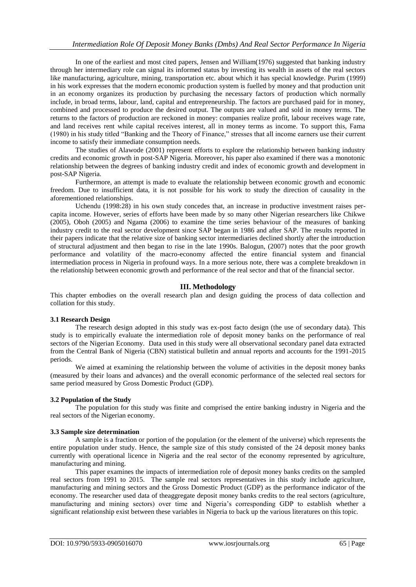In one of the earliest and most cited papers, Jensen and William(1976) suggested that banking industry through her intermediary role can signal its informed status by investing its wealth in assets of the real sectors like manufacturing, agriculture, mining, transportation etc. about which it has special knowledge. Purim (1999) in his work expresses that the modern economic production system is fuelled by money and that production unit in an economy organizes its production by purchasing the necessary factors of production which normally include, in broad terms, labour, land, capital and entrepreneurship. The factors are purchased paid for in money, combined and processed to produce the desired output. The outputs are valued and sold in money terms. The returns to the factors of production are reckoned in money: companies realize profit, labour receives wage rate, and land receives rent while capital receives interest, all in money terms as income. To support this, Fama (1980) in his study titled "Banking and the Theory of Finance," stresses that all income earners use their current income to satisfy their immediate consumption needs.

The studies of Alawode (2001) represent efforts to explore the relationship between banking industry credits and economic growth in post-SAP Nigeria. Moreover, his paper also examined if there was a monotonic relationship between the degrees of banking industry credit and index of economic growth and development in post-SAP Nigeria.

Furthermore, an attempt is made to evaluate the relationship between economic growth and economic freedom. Due to insufficient data, it is not possible for his work to study the direction of causality in the aforementioned relationships.

Uchendu (1998:28) in his own study concedes that, an increase in productive investment raises percapita income. However, series of efforts have been made by so many other Nigerian researchers like Chikwe (2005), Oboh (2005) and Ngama (2006) to examine the time series behaviour of the measures of banking industry credit to the real sector development since SAP began in 1986 and after SAP. The results reported in their papers indicate that the relative size of banking sector intermediaries declined shortly after the introduction of structural adjustment and then began to rise in the late 1990s. Balogun, (2007) notes that the poor growth performance and volatility of the macro-economy affected the entire financial system and financial intermediation process in Nigeria in profound ways. In a more serious note, there was a complete breakdown in the relationship between economic growth and performance of the real sector and that of the financial sector.

# **III. Methodology**

This chapter embodies on the overall research plan and design guiding the process of data collection and collation for this study.

# **3.1 Research Design**

The research design adopted in this study was ex-post facto design (the use of secondary data). This study is to empirically evaluate the intermediation role of deposit money banks on the performance of real sectors of the Nigerian Economy. Data used in this study were all observational secondary panel data extracted from the Central Bank of Nigeria (CBN) statistical bulletin and annual reports and accounts for the 1991-2015 periods.

We aimed at examining the relationship between the volume of activities in the deposit money banks (measured by their loans and advances) and the overall economic performance of the selected real sectors for same period measured by Gross Domestic Product (GDP).

## **3.2 Population of the Study**

The population for this study was finite and comprised the entire banking industry in Nigeria and the real sectors of the Nigerian economy.

### **3.3 Sample size determination**

A sample is a fraction or portion of the population (or the element of the universe) which represents the entire population under study. Hence, the sample size of this study consisted of the 24 deposit money banks currently with operational licence in Nigeria and the real sector of the economy represented by agriculture, manufacturing and mining.

This paper examines the impacts of intermediation role of deposit money banks credits on the sampled real sectors from 1991 to 2015. The sample real sectors representatives in this study include agriculture, manufacturing and mining sectors and the Gross Domestic Product (GDP) as the performance indicator of the economy. The researcher used data of theaggregate deposit money banks credits to the real sectors (agriculture, manufacturing and mining sectors) over time and Nigeria"s corresponding GDP to establish whether a significant relationship exist between these variables in Nigeria to back up the various literatures on this topic.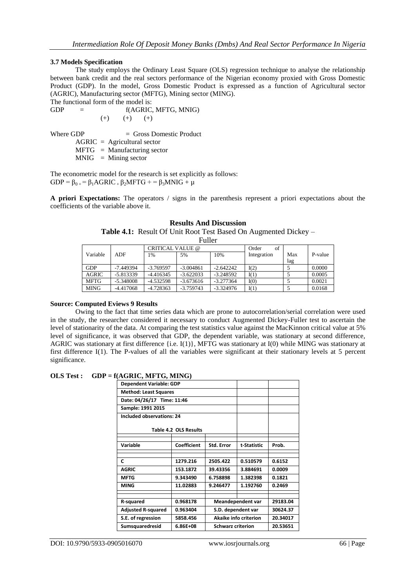### **3.7 Models Specification**

The study employs the Ordinary Least Square (OLS) regression technique to analyse the relationship between bank credit and the real sectors performance of the Nigerian economy proxied with Gross Domestic Product (GDP). In the model, Gross Domestic Product is expressed as a function of Agricultural sector (AGRIC), Manufacturing sector (MFTG), Mining sector (MING).

The functional form of the model is:

 $GDP = f(AGRIC, MFTG, MNIG)$  $(+)$   $(+)$   $(+)$ 

Where GDP  $=$  Gross Domestic Product

 $AGRIC = Agricultural sector$ 

 $MFTG =$  Manufacturing sector

 $MNIG = Mining sector$ 

The econometric model for the research is set explicitly as follows:  $GDP = \beta_{0+} = \beta_1 AGRIC + \beta_2 MFTG + \beta_3 MNIG + \mu$ 

**A priori Expectations:** The operators / signs in the parenthesis represent a priori expectations about the coefficients of the variable above it.

#### **Results And Discussion**

**Table 4.1:** Result Of Unit Root Test Based On Augmented Dickey – Fuller

| . unu        |             |                         |             |             |             |     |         |
|--------------|-------------|-------------------------|-------------|-------------|-------------|-----|---------|
|              |             | <b>CRITICAL VALUE @</b> |             |             | of<br>Order |     |         |
| Variable     | ADF         | 1%                      | 5%          | 10%         | Integration | Max | P-value |
|              |             |                         |             |             |             | lag |         |
| <b>GDP</b>   | $-7.449394$ | $-3.769597$             | $-3.004861$ | $-2.642242$ | I(2)        |     | 0.0000  |
| <b>AGRIC</b> | $-5.813339$ | $-4.416345$             | $-3.622033$ | $-3.248592$ | I(1)        |     | 0.0005  |
| <b>MFTG</b>  | $-5.348008$ | $-4.532598$             | $-3.673616$ | $-3.277364$ | I(0)        |     | 0.0021  |
| <b>MING</b>  | $-4.417068$ | $-4.728363$             | $-3.759743$ | $-3.324976$ | I(1)        |     | 0.0168  |

## **Source: Computed Eviews 9 Results**

Owing to the fact that time series data which are prone to autocorrelation/serial correlation were used in the study, the researcher considered it necessary to conduct Augmented Dickey-Fuller test to ascertain the level of stationarity of the data. At comparing the test statistics value against the MacKinnon critical value at 5% level of significance, it was observed that GDP, the dependent variable, was stationary at second difference, AGRIC was stationary at first difference {i.e. I(1)}, MFTG was stationary at I(0) while MING was stationary at first difference I(1). The P-values of all the variables were significant at their stationary levels at 5 percent significance.

## **OLS Test : GDP = f(AGRIC, MFTG, MING)**

| <b>Dependent Variable: GDP</b> |                          |                          |             |          |
|--------------------------------|--------------------------|--------------------------|-------------|----------|
| <b>Method: Least Squares</b>   |                          |                          |             |          |
| Date: 04/26/17 Time: 11:46     |                          |                          |             |          |
| Sample: 1991 2015              |                          |                          |             |          |
| Included observations: 24      |                          |                          |             |          |
| Table 4.2 OLS Results          |                          |                          |             |          |
| Variable                       | Coefficient              | Std. Error               | t-Statistic | Prob.    |
| C                              | 1279.216                 | 2505.422                 | 0.510579    | 0.6152   |
| <b>AGRIC</b>                   | 153.1872                 | 39.43356                 | 3.884691    | 0.0009   |
| <b>MFTG</b>                    | 9.343490                 | 6.758898                 | 1.382398    | 0.1821   |
| <b>MING</b>                    | 11.02883                 | 9.246477                 | 1.192760    | 0.2469   |
|                                |                          |                          |             |          |
| R-squared                      | 0.968178                 | <b>Meandependent var</b> |             | 29183.04 |
| <b>Adjusted R-squared</b>      | 0.963404                 | S.D. dependent var       |             | 30624.37 |
| S.E. of regression             | 5858.456                 | Akaike info criterion    |             | 20.34017 |
| Sumsquaredresid                | <b>Schwarz criterion</b> |                          | 20.53651    |          |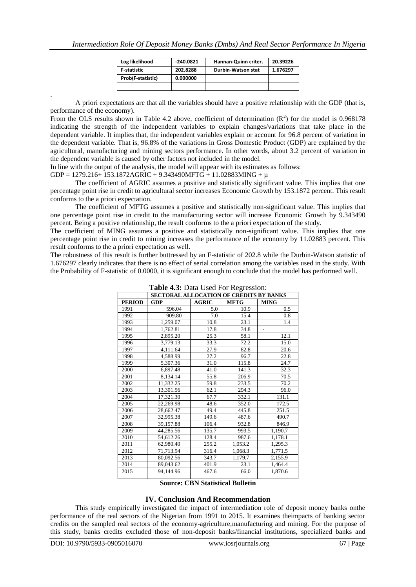| Log likelihood      | $-240.0821$ | Hannan-Quinn criter.      | 20.39226 |
|---------------------|-------------|---------------------------|----------|
| <b>F</b> -statistic | 202.8288    | <b>Durbin-Watson stat</b> | 1.676297 |
| Prob(F-statistic)   | 0.000000    |                           |          |
|                     |             |                           |          |
|                     |             |                           |          |

. A priori expectations are that all the variables should have a positive relationship with the GDP (that is, performance of the economy).

From the OLS results shown in Table 4.2 above, coefficient of determination  $(R^2)$  for the model is 0.968178 indicating the strength of the independent variables to explain changes/variations that take place in the dependent variable. It implies that, the independent variables explain or account for 96.8 percent of variation in the dependent variable. That is, 96.8% of the variations in Gross Domestic Product (GDP) are explained by the agricultural, manufacturing and mining sectors performance. In other words, about 3.2 percent of variation in the dependent variable is caused by other factors not included in the model.

In line with the output of the analysis, the model will appear with its estimates as follows:

GDP = 1279.216+ 153.1872AGRIC + 9.343490MFTG + 11.02883MING +  $\mu$ 

The coefficient of AGRIC assumes a positive and statistically significant value. This implies that one percentage point rise in credit to agricultural sector increases Economic Growth by 153.1872 percent. This result conforms to the a priori expectation.

The coefficient of MFTG assumes a positive and statistically non-significant value. This implies that one percentage point rise in credit to the manufacturing sector will increase Economic Growth by 9.343490 percent. Being a positive relationship, the result conforms to the a priori expectation of the study.

The coefficient of MING assumes a positive and statistically non-significant value. This implies that one percentage point rise in credit to mining increases the performance of the economy by 11.02883 percent. This result conforms to the a priori expectation as well.

The robustness of this result is further buttressed by an F-statistic of 202.8 while the Durbin-Watson statistic of 1.676297 clearly indicates that there is no effect of serial correlation among the variables used in the study. With the Probability of F-statistic of 0.0000, it is significant enough to conclude that the model has performed well.

|               | <b>SECTORAL ALLOCATION OF CREDITS BY BANKS</b> |              |             |                |  |
|---------------|------------------------------------------------|--------------|-------------|----------------|--|
| <b>PERIOD</b> | GDP                                            | <b>AGRIC</b> | <b>MFTG</b> | <b>MING</b>    |  |
| 1991          | 596.04                                         | 5.0          | 10.9        | 0.5            |  |
| 1992          | 909.80                                         | 7.0          | 15.4        | 0.8            |  |
| 1993          | 1,259.07                                       | 10.8         | 23.1        | 1.4            |  |
| 1994          | 1,762.81                                       | 17.8         | 34.8        | $\overline{a}$ |  |
| 1995          | 2,895.20                                       | 25.3         | 58.1        | 12.1           |  |
| 1996          | 3,779.13                                       | 33.3         | 72.2        | 15.0           |  |
| 1997          | 4,111.64                                       | 27.9         | 82.8        | 20.6           |  |
| 1998          | 4,588.99                                       | 27.2         | 96.7        | 22.8           |  |
| 1999          | 5,307.36                                       | 31.0         | 115.8       | 24.7           |  |
| 2000          | 6,897.48                                       | 41.0         | 141.3       | 32.3           |  |
| 2001          | 8,134.14                                       | 55.8         | 206.9       | 70.5           |  |
| 2002          | 11,332.25                                      | 59.8         | 233.5       | 70.2           |  |
| 2003          | 13,301.56                                      | 62.1         | 294.3       | 96.0           |  |
| 2004          | 17,321.30                                      | 67.7         | 332.1       | 131.1          |  |
| 2005          | 22,269.98                                      | 48.6         | 352.0       | 172.5          |  |
| 2006          | 28,662.47                                      | 49.4         | 445.8       | 251.5          |  |
| 2007          | 32,995.38                                      | 149.6        | 487.6       | 490.7          |  |
| 2008          | 39,157.88                                      | 106.4        | 932.8       | 846.9          |  |
| 2009          | 44,285.56                                      | 135.7        | 993.5       | 1,190.7        |  |
| 2010          | 54,612.26                                      | 128.4        | 987.6       | 1,178.1        |  |
| 2011          | 62.980.40                                      | 255.2        | 1,053.2     | 1,295.3        |  |
| 2012          | 71,713.94                                      | 316.4        | 1,068.3     | 1,771.5        |  |
| 2013          | 80,092.56                                      | 343.7        | 1,179.7     | 2,155.9        |  |
| 2014          | 89,043.62                                      | 401.9        | 23.1        | 1,464.4        |  |
| 2015          | 94,144.96                                      | 467.6        | 66.0        | 1,870.6        |  |

**Table 4.3:** Data Used For Regression:

## **Source: CBN Statistical Bulletin**

### **IV. Conclusion And Recommendation**

This study empirically investigated the impact of intermediation role of deposit money banks onthe performance of the real sectors of the Nigerian from 1991 to 2015. It examines theimpacts of banking sector credits on the sampled real sectors of the economy-agriculture,manufacturing and mining. For the purpose of this study, banks credits excluded those of non-deposit banks/financial institutions, specialized banks and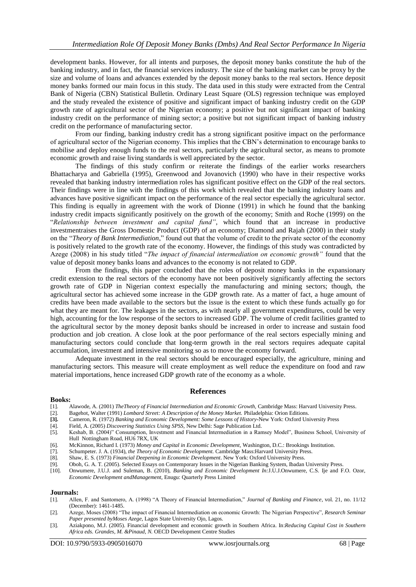development banks. However, for all intents and purposes, the deposit money banks constitute the hub of the banking industry, and in fact, the financial services industry. The size of the banking market can be proxy by the size and volume of loans and advances extended by the deposit money banks to the real sectors. Hence deposit money banks formed our main focus in this study. The data used in this study were extracted from the Central Bank of Nigeria (CBN) Statistical Bulletin. Ordinary Least Square (OLS) regression technique was employed and the study revealed the existence of positive and significant impact of banking industry credit on the GDP growth rate of agricultural sector of the Nigerian economy; a positive but not significant impact of banking industry credit on the performance of mining sector; a positive but not significant impact of banking industry credit on the performance of manufacturing sector.

From our finding, banking industry credit has a strong significant positive impact on the performance of agricultural sector of the Nigerian economy. This implies that the CBN"s determination to encourage banks to mobilise and deploy enough funds to the real sectors, particularly the agricultural sector, as means to promote economic growth and raise living standards is well appreciated by the sector.

The findings of this study confirm or reiterate the findings of the earlier works researchers Bhattacharya and Gabriella (1995), Greenwood and Jovanovich (1990) who have in their respective works revealed that banking industry intermediation roles has significant positive effect on the GDP of the real sectors. Their findings were in line with the findings of this work which revealed that the banking industry loans and advances have positive significant impact on the performance of the real sector especially the agricultural sector. This finding is equally in agreement with the work of Dionne (1991) in which he found that the banking industry credit impacts significantly positively on the growth of the economy; Smith and Roche (1999) on the "*Relationship between investment and capital fund"*, which found that an increase in productive investmentraises the Gross Domestic Product (GDP) of an economy; Diamond and Rajah (2000) in their study on the "*Theory of Bank Intermediation*," found out that the volume of credit to the private sector of the economy is positively related to the growth rate of the economy. However, the findings of this study was contradicted by Azege (2008) in his study titled "*The impact of financial intermediation on economic growth"* found that the value of deposit money banks loans and advances to the economy is not related to GDP.

From the findings, this paper concluded that the roles of deposit money banks in the expansionary credit extension to the real sectors of the economy have not been positively significantly affecting the sectors growth rate of GDP in Nigerian context especially the manufacturing and mining sectors; though, the agricultural sector has achieved some increase in the GDP growth rate. As a matter of fact, a huge amount of credits have been made available to the sectors but the issue is the extent to which these funds actually go for what they are meant for. The leakages in the sectors, as with nearly all government expenditures, could be very high, accounting for the low response of the sectors to increased GDP. The volume of credit facilities granted to the agricultural sector by the money deposit banks should be increased in order to increase and sustain food production and job creation. A close look at the poor performance of the real sectors especially mining and manufacturing sectors could conclude that long-term growth in the real sectors requires adequate capital accumulation, investment and intensive monitoring so as to move the economy forward.

Adequate investment in the real sectors should be encouraged especially, the agriculture, mining and manufacturing sectors. This measure will create employment as well reduce the expenditure on food and raw material importations, hence increased GDP growth rate of the economy as a whole.

### **References**

#### **Books:**

- [1]. Alawode, A. (2001) *TheTheory of Financial Intermediation and Economic Growth,* Cambridge Mass: Harvard University Press.
- [2]. Bagehot, Walter (1991) *Lombard Street: A Description of the Money Market.* Philadelphia: Orion Editions.
- **[3].** Cameron, R. (1972) *Banking and Economic Development: Some Lessons of History***-**New York: Oxford University Press
- [4]. Field, A. (2005) *Discovering Statistics Using SPSS,* New Delhi: Sage Publication Ltd.
- [5]. Keshab, B. (2004)" Consumption, Investment and Financial Intermediation in a Ramsey Model", Business School, University of Hull Nottingham Road, HU6 7RX, UK
- [6]. McKinnon, Richard I. (1973) *Money and Capital in Economic Development,* Washington, D.C.: Brookings Institution.
- [7]. Schumpeter. J. A. (1934), *the Theory of Economic Development.* Cambridge Mass:Harvard University Press.
- [8]. Shaw, E. S. (1973) *Financial Deepening in Economic Development*. New York: Oxford University Press.
- [9]. Oboh, G. A. T. (2005). Selected Essays on Contemporary Issues in the Nigerian Banking System, Ibadan University Press.
- [10]. Onwumere, J.U.J. and Suleman, B. (2010), *Banking and Economic Development In:*J.U.J.Onwumere, C.S. Ije and F.O. Ozor, *Economic Development andManagement,* Enugu: Quarterly Press Limited

#### **Journals:**

- [1]. Allen, F. and Santomero, A. (1998) "A Theory of Financial Intermediation," *Journal of Banking and Finance*, vol. 21, no. 11/12 (December): 1461-1485.
- [2]. Azege, Moses (2008) "The impact of Financial Intermediation on economic Growth: The Nigerian Perspective", *Research Seminar Paper presented byMoses Azege*, Lagos State University Ojo, Lagos.
- [3]. Aziakpono, M.J. (2005). Financial development and economic growth in Southern Africa. In:*Reducing Capital Cost in Southern Africa eds. Grandes, M. &Pinaud, N.* OECD Development Centre Studies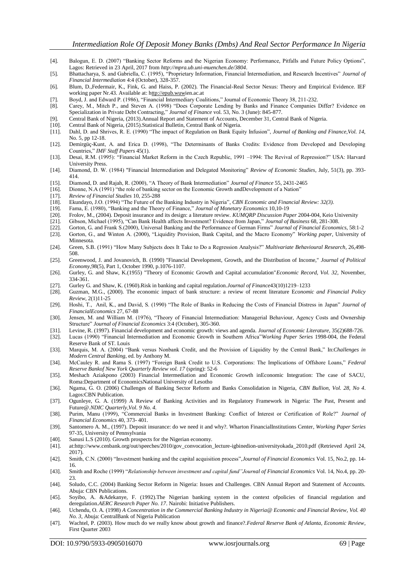- [4]. Balogun, E. D. (2007) "Banking Sector Reforms and the Nigerian Economy: Performance, Pitfalls and Future Policy Options", Lagos: Retrieved in 23 April, 2017 from *http://mpra.ub.uni-muenchen.de/3804*.
- [5]. Bhattacharya, S. and Gabriella, C. (1995), "Proprietary Information, Financial Intermediation, and Research Incentives" *Journal of Financial Intermediation* 4:4 (October), 328-357.
- [6]. Blum, D.,Federmair, K., Fink, G. and Haiss, P. (2002). The Financial-Real Sector Nexus: Theory and Empirical Evidence. IEF working paper Nr.43. Available at: [http://epub.wuwi](ttp://epub.wu-w/)en.ac.at
- [7]. Boyd, J. and Edward P. (1986), "Financial Intermediary Coalitions," Journal of Economic Theory 38, 211-232.
- [8]. Carey, M., Mitch P., and Steven A. (1998) "Does Corporate Lending by Banks and Finance Companies Differ? Evidence on Specialization in Private Debt Contracting," *Journal of Finance* vol. 53, No. 3 (June): 845-877.
- [9]. Central Bank of Nigeria, (2013).Annual Report and Statement of Accounts, December 31, Central Bank of Nigeria.
- [10]. Central Bank of Nigeria, (2015).Statistical Bulletin, Central Bank of Nigeria.
- [11]. Dahl, D. and Shrives, R. E. (1990) "The impact of Regulation on Bank Equity Infusion", *Journal of Banking and Finance,Vol. 14,*  No. 5, pp 12-18.
- [12]. Demirgüç-Kunt, A. and Erica D. (1998), "The Determinants of Banks Credits: Evidence from Developed and Developing Countries," *IMF Staff Papers* 45(1).
- [13]. Desai, R.M. (1995): "Financial Market Reform in the Czech Republic, 1991 –1994: The Revival of Repression?" USA: Harvard University Press.
- [14]. Diamond, D. W. (1984) "Financial Intermediation and Delegated Monitoring" *Review of Economic Studies*, July, 51(3), pp. 393- 414.
- [15]. Diamond, D. and Rajah, R. (2000), "A Theory of Bank Intermediation" *Journal of Finance* 55, 2431-2465
- [16]. Dionne, N.A (1991) "the role of banking sector on the Economic Growth andDevelopment of a Nation"
- [17]. *Review of Financial Studies* 10, 255-288
- [18]. Ekundayo, J.O. (1994) "The Future of the Banking Industry in Nigeria", *CBN Economic and Financial Review: 32(3).*
- [19]. Fama, E. (1980), "Banking and the Theory of Finance," *Journal of Monetary Economics* 10,10-19
- [20]. Frolov, M., (2004). Deposit insurance and its design: a literature review. *KUMQRP Discussion Paper* 2004-004, Keio University
- [21]. Gibson, Michael (1995), "Can Bank Health affects Investment? Evidence from Japan," *Journal of Business* 68, 281-308.
- [22]. Gorton, G. and Frank S.(2000), Universal Banking and the Performance of German Firms" *Journal of Financial Economics*, 58:1-2
- [23]. Gorton, G., and Winton A. (2000), "Liquidity Provision, Bank Capital, and the Macro Economy" *Working paper,* University of Minnesota.
- [24]. Green, S.B. (1991) "How Many Subjects does It Take to Do a Regression Analysis?" *Multivariate Behavioural Research*, 26,498- 508.
- [25]. Greenwood, J. and Jovanovich, B. (1990) "Financial Development, Growth, and the Distribution of Income," *Journal of Political Economy,*98(5), Part 1, October 1990, p.1076-1107.
- [26]. Gurley, G. and Shaw, K.(1955) "Theory of Economic Growth and Capital accumulation"*Economic Record, Vol. 32,* November, 334-361.
- [27]. Gurley G. and Shaw, K. (1960).Risk in banking and capital regulation.*Journal of Finance*43(10)1219–1233
- [28]. Guzman, M.G., (2000). The economic impact of bank structure: a review of recent literature E*conomic and Financial Policy Review*, 2(1)11-25
- [29]. Hoshi, T., Anil, K., and David, S. (1990) "The Role of Banks in Reducing the Costs of Financial Distress in Japan" *Journal of FinancialEconomics* 27, 67-88
- [30]. Jensen, M. and William M. (1976), "Theory of Financial Intermediation: Managerial Behaviour, Agency Costs and Ownership Structure" *Journal of Financial Economics* 3:4 (October), 305-360.
- [31]. Levine, R. (1997). Financial development and economic growth: views and agenda. *Journal of Economic Literature,* 35(2)688-726.
- [32]. Lucas (1990) "Financial Intermediation and Economic Growth in Southern Africa"*Working Paper Series* 1998-004, the Federal Reserve Bank of ST. Louis
- [33]. Marquis, M. A. (2004) "Bank versus Nonbank Credit, and the Provision of Liquidity by the Central Bank," In:*Challenges in Modern Central Banking*, ed. by Anthony M.
- [34]. McCauley R. and Rama S. (1997) "Foreign Bank Credit to U.S. Corporations: The Implications of Offshore Loans," *Federal Reserve Bankof New York Quarterly Review vol. 17* (spring): 52-6
- [35]. Meshach Aziakpono (2003) Financial Intermediation and Economic Growth inEconomic Integration: The case of SACU, Roma:Department of EconomicsNational University of Lesotho
- [36]. Ngama, G. O. (2006) Challenges of Banking Sector Reform and Banks Consolidation in Nigeria, *CBN Bullion, Vol. 28, No 4*. Lagos:CBN Publication.
- [37]. Ogunleye, G. A. (1999) A Review of Banking Activities and its Regulatory Framework in Nigeria: The Past, Present and Future@.*NDIC Quarterly,Vol. 9 No. 4.*
- [38]. Purim, Manu (1999), "Commercial Banks in Investment Banking: Conflict of Interest or Certification of Role?" *Journal of Financial Economics* 40, 373- 401.
- [39]. Santomero A. M., (1997). Deposit insurance: do we need it and why?. Wharton FinancialInstitutions Center*, Working Paper Series*  97-35, University of Pennsylvania
- [40]. Sanusi L.S (2010). Growth prospects for the Nigerian economy.
- [41]. at:http://www.cenbank.org/out/speeches/2010/gov\_convocation\_lecture-igbinedion-universityokada\_2010.pdf (Retrieved April 24, 2017).
- [42]. Smith, C.N. (2000) "Investment banking and the capital acquisition process",*Journal of Financial Economics* Vol. 15, No.2, pp. 14- 16.
- [43]. Smith and Roche (1999) "*Relationship between investment and capital fund"Journal of Financial Economics* Vol. 14, No.4, pp. 20- 23.
- [44]. Soludo, C.C. (2004) Banking Sector Reform in Nigeria: Issues and Challenges. CBN Annual Report and Statement of Accounts. Abuja: CBN Publications.
- [45]. Soyibo, A. &Adekanye, F. (1992).The Nigerian banking system in the context ofpolicies of financial regulation and deregulation.*AERC Research Paper No. 17*. Nairobi: Initiative Publishers.
- [46]. Uchendu, O. A. (1998) *A Concentration in the Commercial Banking Industry in Nigeria*@ *Economic and Financial Review, Vol. 40 No. 3*, Abuja: CentralBank of Nigeria Publication
- [47]. Wachtel, P. (2003). How much do we really know about growth and finance?.*Federal Reserve Bank of Atlanta, Economic Review*, First Quarter 2003